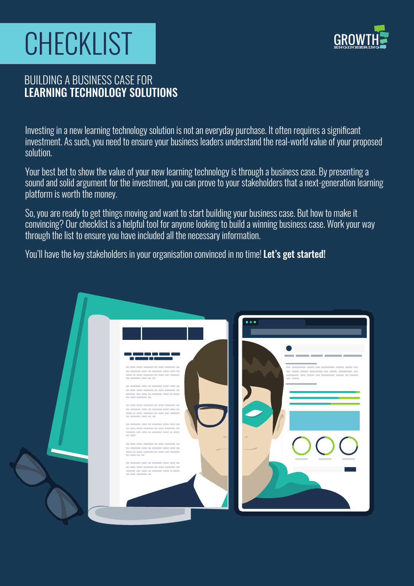# CHECKLIST



### BUILDING A BUSINESS CASE FOR LEARNING TECHNOLOGY SOLUTIONS

Investing in a new learning technology solution is not an everyday purchase. It often requires a significant investment. As such, you need to ensure your business leaders understand the real-world value of your proposed solution.

Your best bet to show the value of your new learning technology is through a business case. By presenting a sound and solid argument for the investment, you can prove to your stakeholders that a next-generation learning platform is worth the money.

So, you are ready to get things moving and want to start building your business case. But how to make it convincing? Our checklist is a helpful tool for anyone looking to build a winning business case. Work your way through the list to ensure you have included all the necessary information.

You'll have the key stakeholders in your organisation convinced in no time! Let's get started!

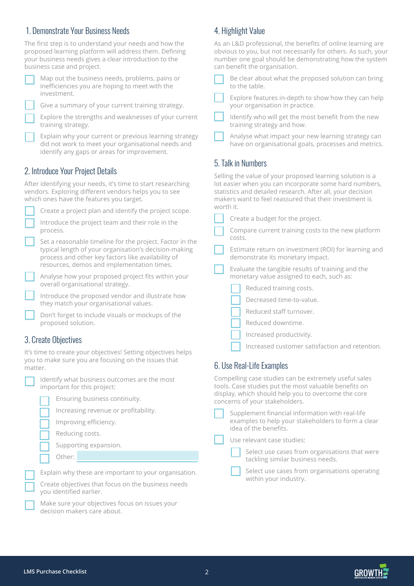#### 1. Demonstrate Your Business Needs

The first step is to understand your needs and how the proposed learning platform will address them. Defining your business needs gives a clear introduction to the business case and project.

Map out the business needs, problems, pains or inefficiencies you are hoping to meet with the investment.

Give a summary of your current training strategy.

| Explore the strengths and weaknesses of your current |  |  |
|------------------------------------------------------|--|--|
| training strategy.                                   |  |  |

Explain why your current or previous learning strategy did not work to meet your organisational needs and identify any gaps or areas for improvement.

#### 2. Introduce Your Project Details

After identifying your needs, it's time to start researching vendors. Exploring different vendors helps you to see which ones have the features you target.

| Create a project plan and identify the project scope.                                                                                                                                                                 |
|-----------------------------------------------------------------------------------------------------------------------------------------------------------------------------------------------------------------------|
| Introduce the project team and their role in the<br>process.                                                                                                                                                          |
| Set a reasonable timeline for the project. Factor in the<br>typical length of your organisation's decision-making<br>process and other key factors like availability of<br>resources, demos and implementation times. |
| Analyse how your proposed project fits within your<br>overall organisational strategy.                                                                                                                                |
| Introduce the proposed vendor and illustrate how<br>they match your organisational values.                                                                                                                            |

Don't forget to include visuals or mockups of the proposed solution.

#### 3. Create Objectives

It's time to create your objectives! Setting objectives helps you to make sure you are focusing on the issues that matter.

|  | identify \<br>importar |
|--|------------------------|
|  | Ens                    |
|  | Inci                   |
|  | Imp                    |
|  | Rec                    |
|  | Sup                    |
|  | Oth                    |
|  |                        |

what business outcomes are the most nt for this project:

|  |  | Ensuring business continuity. |
|--|--|-------------------------------|
|--|--|-------------------------------|

reasing revenue or profitability.

proving efficiency.

ducing costs.

pporting expansion.

ier·

Explain why these are important to your organisation.

Create objectives that focus on the business needs you identified earlier.

Make sure your objectives focus on issues your decision makers care about.

#### 4. Highlight Value

| As an L&D professional, the benefits of online learning are   |
|---------------------------------------------------------------|
| obvious to you, but not necessarily for others. As such, your |
| number one goal should be demonstrating how the system        |
| can benefit the organisation.                                 |
|                                                               |

| Be clear about what the proposed solution can bring |  |
|-----------------------------------------------------|--|
| to the table.                                       |  |

Explore features in-depth to show how they can help your organisation in practice.

Identify who will get the most benefit from the new training strategy and how.

Analyse what impact your new learning strategy can have on organisational goals, processes and metrics.

#### 5. Talk in Numbers

Selling the value of your proposed learning solution is a lot easier when you can incorporate some hard numbers, statistics and detailed research. After all, your decision makers want to feel reassured that their investment is worth it.

Compare current training costs to the new platform costs.

Estimate return on investment (ROI) for learning and demonstrate its monetary impact.

Evaluate the tangible results of training and the monetary value assigned to each, such as:

| Reduced training costs. |  |  |
|-------------------------|--|--|
|-------------------------|--|--|

- Decreased time-to-value.
- Reduced staff turnover.
- Reduced downtime.
- Increased productivity.
- Increased customer satisfaction and retention.

#### 6. Use Real-Life Examples

Compelling case studies can be extremely useful sales tools. Case studies put the most valuable benefits on display, which should help you to overcome the core concerns of your stakeholders.

Supplement financial information with real-life examples to help your stakeholders to form a clear idea of the benefits.

Use relevant case studies:

Select use cases from organisations that were tackling similar business needs.

Select use cases from organisations operating within your industry.